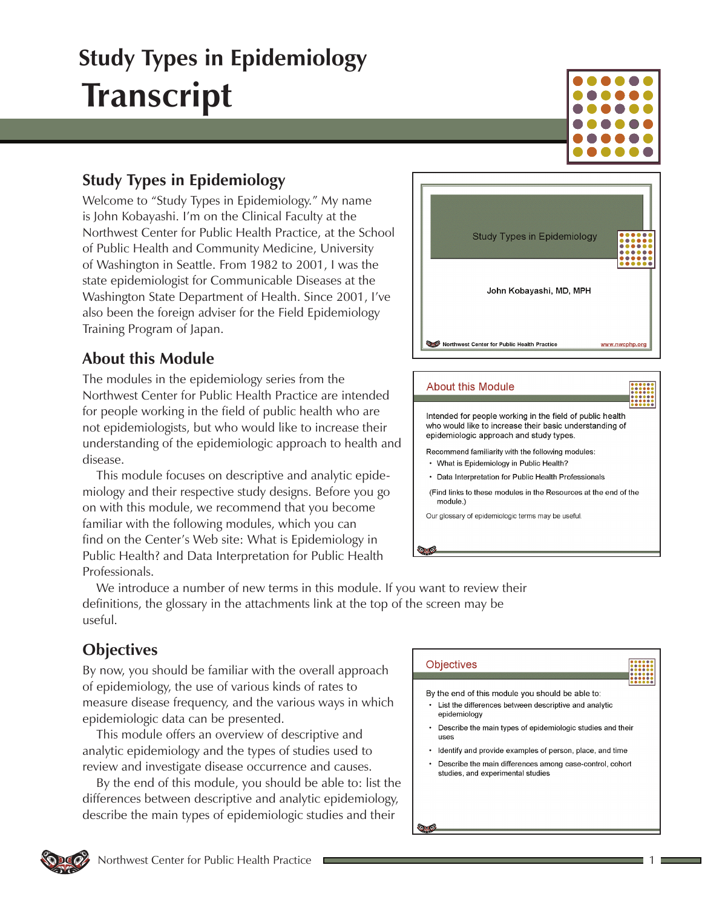### **Study Types in Epidemiology**

Welcome to "Study Types in Epidemiology." My name is John Kobayashi. I'm on the Clinical Faculty at the Northwest Center for Public Health Practice, at the School of Public Health and Community Medicine, University of Washington in Seattle. From 1982 to 2001, I was the state epidemiologist for Communicable Diseases at the Washington State Department of Health. Since 2001, I've also been the foreign adviser for the Field Epidemiology Training Program of Japan.

### **About this Module**

The modules in the epidemiology series from the Northwest Center for Public Health Practice are intended for people working in the field of public health who are not epidemiologists, but who would like to increase their understanding of the epidemiologic approach to health and disease.

This module focuses on descriptive and analytic epidemiology and their respective study designs. Before you go on with this module, we recommend that you become familiar with the following modules, which you can find on the Center's Web site: What is Epidemiology in Public Health? and Data Interpretation for Public Health Professionals.



#### **About this Module**

Intended for people working in the field of public health who would like to increase their basic understanding of epidemiologic approach and study types.

- Recommend familiarity with the following modules:
- What is Epidemiology in Public Health?
- Data Interpretation for Public Health Professionals

(Find links to these modules in the Resources at the end of the module.)

Our glossary of epidemiologic terms may be useful

We introduce a number of new terms in this module. If you want to review their definitions, the glossary in the attachments link at the top of the screen may be useful.

### **Objectives**

By now, you should be familiar with the overall approach of epidemiology, the use of various kinds of rates to measure disease frequency, and the various ways in which epidemiologic data can be presented.

This module offers an overview of descriptive and analytic epidemiology and the types of studies used to review and investigate disease occurrence and causes.

By the end of this module, you should be able to: list the differences between descriptive and analytic epidemiology, describe the main types of epidemiologic studies and their

#### **Objectives**

- By the end of this module you should be able to:
- List the differences between descriptive and analytic epidemiology
- Describe the main types of epidemiologic studies and their uses
- Identify and provide examples of person, place, and time
- Describe the main differences among case-control, cohort studies, and experimental studies

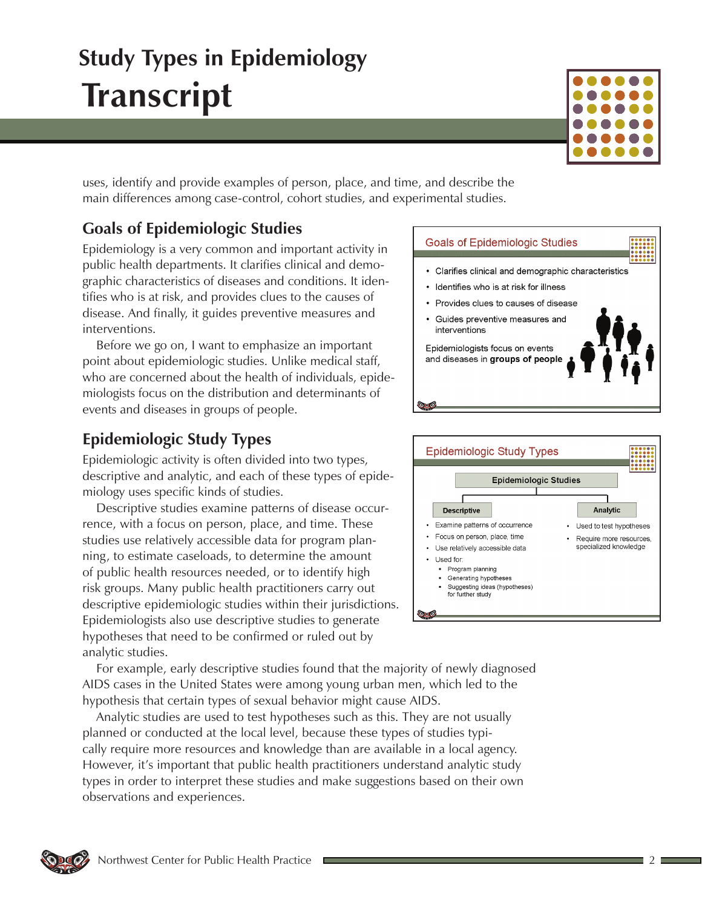

uses, identify and provide examples of person, place, and time, and describe the main differences among case-control, cohort studies, and experimental studies.

## **Goals of Epidemiologic Studies**

Epidemiology is a very common and important activity in public health departments. It clarifies clinical and demographic characteristics of diseases and conditions. It identifies who is at risk, and provides clues to the causes of disease. And finally, it guides preventive measures and interventions.

Before we go on, I want to emphasize an important point about epidemiologic studies. Unlike medical staff, who are concerned about the health of individuals, epidemiologists focus on the distribution and determinants of events and diseases in groups of people.

## **Epidemiologic Study Types**

Epidemiologic activity is often divided into two types, descriptive and analytic, and each of these types of epidemiology uses specific kinds of studies.

Descriptive studies examine patterns of disease occurrence, with a focus on person, place, and time. These studies use relatively accessible data for program planning, to estimate caseloads, to determine the amount of public health resources needed, or to identify high risk groups. Many public health practitioners carry out descriptive epidemiologic studies within their jurisdictions. Epidemiologists also use descriptive studies to generate hypotheses that need to be confirmed or ruled out by analytic studies.



- · Identifies who is at risk for illness
- Provides clues to causes of disease
- Guides preventive measures and interventions

Epidemiologists focus on events and diseases in groups of people

 $\circ$ 



For example, early descriptive studies found that the majority of newly diagnosed AIDS cases in the United States were among young urban men, which led to the hypothesis that certain types of sexual behavior might cause AIDS.

Analytic studies are used to test hypotheses such as this. They are not usually planned or conducted at the local level, because these types of studies typically require more resources and knowledge than are available in a local agency. However, it's important that public health practitioners understand analytic study types in order to interpret these studies and make suggestions based on their own observations and experiences.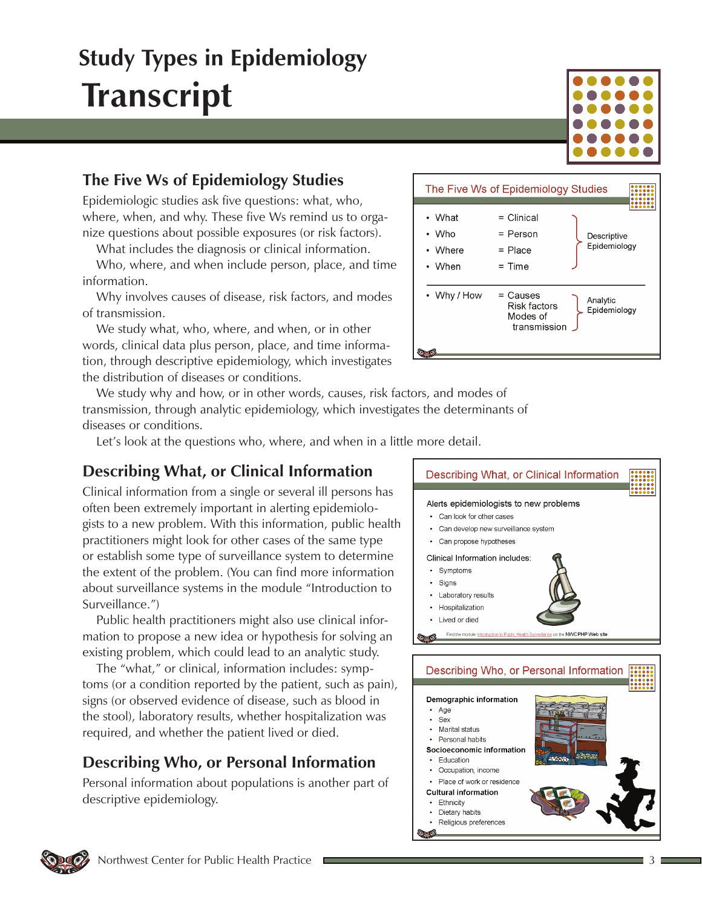

Epidemiologic studies ask five questions: what, who, where, when, and why. These five Ws remind us to organize questions about possible exposures (or risk factors).

What includes the diagnosis or clinical information.

Who, where, and when include person, place, and time information.

Why involves causes of disease, risk factors, and modes of transmission.

We study what, who, where, and when, or in other words, clinical data plus person, place, and time information, through descriptive epidemiology, which investigates the distribution of diseases or conditions.

We study why and how, or in other words, causes, risk factors, and modes of transmission, through analytic epidemiology, which investigates the determinants of diseases or conditions.

Let's look at the questions who, where, and when in a little more detail.

## **Describing What, or Clinical Information**

Clinical information from a single or several ill persons has often been extremely important in alerting epidemiologists to a new problem. With this information, public health practitioners might look for other cases of the same type or establish some type of surveillance system to determine the extent of the problem. (You can find more information about surveillance systems in the module "Introduction to Surveillance.")

Public health practitioners might also use clinical information to propose a new idea or hypothesis for solving an existing problem, which could lead to an analytic study.

The "what," or clinical, information includes: symptoms (or a condition reported by the patient, such as pain), signs (or observed evidence of disease, such as blood in the stool), laboratory results, whether hospitalization was required, and whether the patient lived or died.

## **Describing Who, or Personal Information**

Personal information about populations is another part of descriptive epidemiology.



Religious preferences





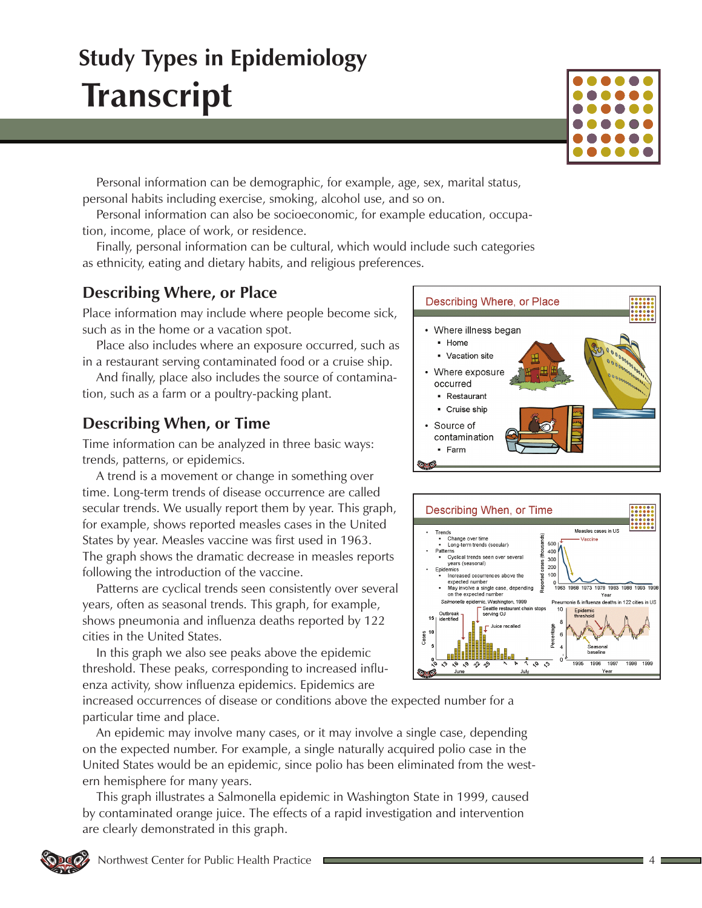

Personal information can be demographic, for example, age, sex, marital status, personal habits including exercise, smoking, alcohol use, and so on.

Personal information can also be socioeconomic, for example education, occupation, income, place of work, or residence.

Finally, personal information can be cultural, which would include such categories as ethnicity, eating and dietary habits, and religious preferences.

### **Describing Where, or Place**

Place information may include where people become sick, such as in the home or a vacation spot.

Place also includes where an exposure occurred, such as in a restaurant serving contaminated food or a cruise ship.

And finally, place also includes the source of contamination, such as a farm or a poultry-packing plant.

### **Describing When, or Time**

Time information can be analyzed in three basic ways: trends, patterns, or epidemics.

A trend is a movement or change in something over time. Long-term trends of disease occurrence are called secular trends. We usually report them by year. This graph, for example, shows reported measles cases in the United States by year. Measles vaccine was first used in 1963. The graph shows the dramatic decrease in measles reports following the introduction of the vaccine.

Patterns are cyclical trends seen consistently over several years, often as seasonal trends. This graph, for example, shows pneumonia and influenza deaths reported by 122 cities in the United States.

In this graph we also see peaks above the epidemic threshold. These peaks, corresponding to increased influenza activity, show influenza epidemics. Epidemics are

increased occurrences of disease or conditions above the expected number for a particular time and place.

An epidemic may involve many cases, or it may involve a single case, depending on the expected number. For example, a single naturally acquired polio case in the United States would be an epidemic, since polio has been eliminated from the western hemisphere for many years.

This graph illustrates a Salmonella epidemic in Washington State in 1999, caused by contaminated orange juice. The effects of a rapid investigation and intervention are clearly demonstrated in this graph.



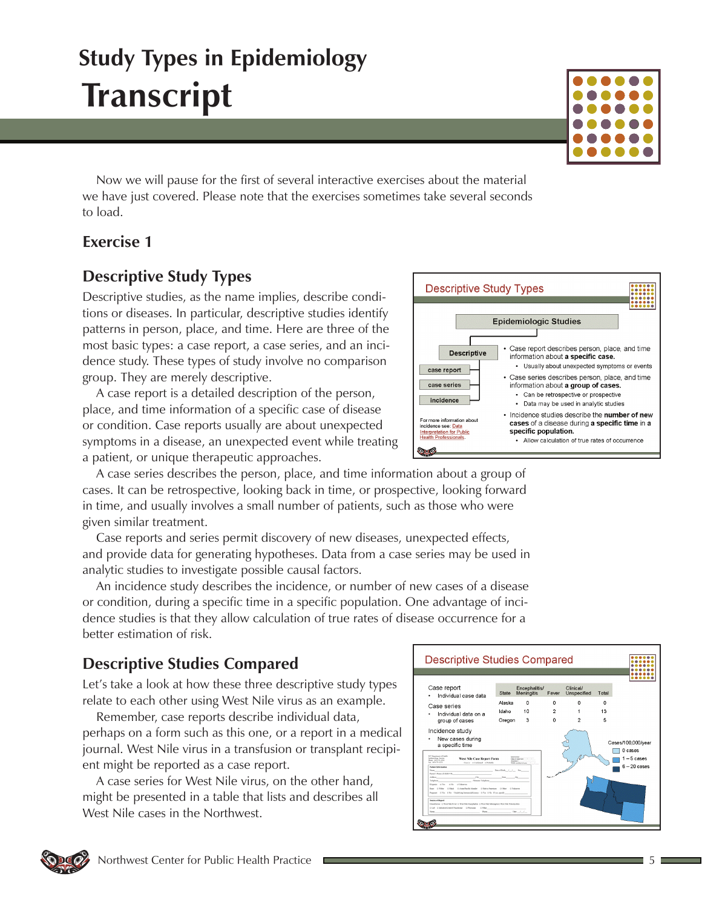Now we will pause for the first of several interactive exercises about the material we have just covered. Please note that the exercises sometimes take several seconds to load.

#### **Exercise 1**

### **Descriptive Study Types**

Descriptive studies, as the name implies, describe conditions or diseases. In particular, descriptive studies identify patterns in person, place, and time. Here are three of the most basic types: a case report, a case series, and an incidence study. These types of study involve no comparison group. They are merely descriptive.

A case report is a detailed description of the person, place, and time information of a specific case of disease or condition. Case reports usually are about unexpected symptoms in a disease, an unexpected event while treating a patient, or unique therapeutic approaches.

A case series describes the person, place, and time information about a group of cases. It can be retrospective, looking back in time, or prospective, looking forward in time, and usually involves a small number of patients, such as those who were given similar treatment.

Case reports and series permit discovery of new diseases, unexpected effects, and provide data for generating hypotheses. Data from a case series may be used in analytic studies to investigate possible causal factors.

An incidence study describes the incidence, or number of new cases of a disease or condition, during a specific time in a specific population. One advantage of incidence studies is that they allow calculation of true rates of disease occurrence for a better estimation of risk.

## **Descriptive Studies Compared**

Let's take a look at how these three descriptive study types relate to each other using West Nile virus as an example.

Remember, case reports describe individual data, perhaps on a form such as this one, or a report in a medical journal. West Nile virus in a transfusion or transplant recipient might be reported as a case report.

A case series for West Nile virus, on the other hand, might be presented in a table that lists and describes all West Nile cases in the Northwest.





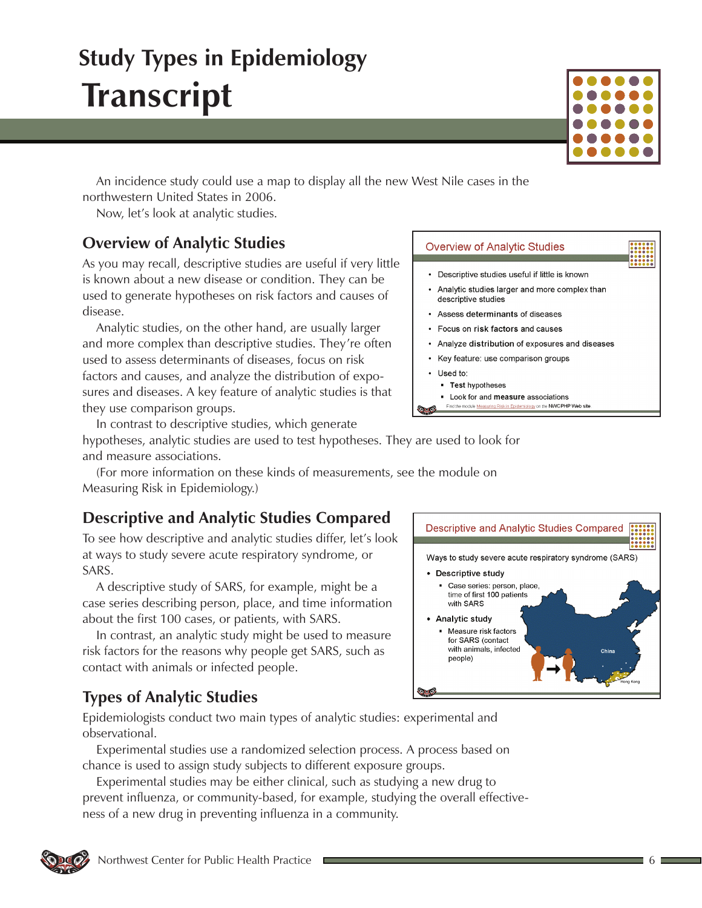An incidence study could use a map to display all the new West Nile cases in the northwestern United States in 2006.

Now, let's look at analytic studies.

### **Overview of Analytic Studies**

As you may recall, descriptive studies are useful if very little is known about a new disease or condition. They can be used to generate hypotheses on risk factors and causes of disease.

Analytic studies, on the other hand, are usually larger and more complex than descriptive studies. They're often used to assess determinants of diseases, focus on risk factors and causes, and analyze the distribution of exposures and diseases. A key feature of analytic studies is that they use comparison groups.

#### **Overview of Analytic Studies**

- Descriptive studies useful if little is known
- Analytic studies larger and more complex than descriptive studies
- Assess determinants of diseases
- Focus on risk factors and causes
- Analyze distribution of exposures and diseases
- Key feature: use comparison groups
- Used to:
	- Test hypotheses
- Look for and measure associations Find the module Measuring Risk in Epidemiology on the NWCPHP Web site

In contrast to descriptive studies, which generate hypotheses, analytic studies are used to test hypotheses. They are used to look for and measure associations.

(For more information on these kinds of measurements, see the module on Measuring Risk in Epidemiology.)

## **Descriptive and Analytic Studies Compared**

To see how descriptive and analytic studies differ, let's look at ways to study severe acute respiratory syndrome, or SARS.

A descriptive study of SARS, for example, might be a case series describing person, place, and time information about the first 100 cases, or patients, with SARS.

In contrast, an analytic study might be used to measure risk factors for the reasons why people get SARS, such as contact with animals or infected people.

#### **Descriptive and Analytic Studies Compared** Ways to study severe acute respiratory syndrome (SARS) • Descriptive study Case series: person, place, time of first 100 patients with SARS **Analytic study**  $\blacksquare$  Measure risk factors for SARS (contact with animals, infected people)

## **Types of Analytic Studies**

Epidemiologists conduct two main types of analytic studies: experimental and observational.

Experimental studies use a randomized selection process. A process based on chance is used to assign study subjects to different exposure groups.

Experimental studies may be either clinical, such as studying a new drug to prevent influenza, or community-based, for example, studying the overall effectiveness of a new drug in preventing influenza in a community.

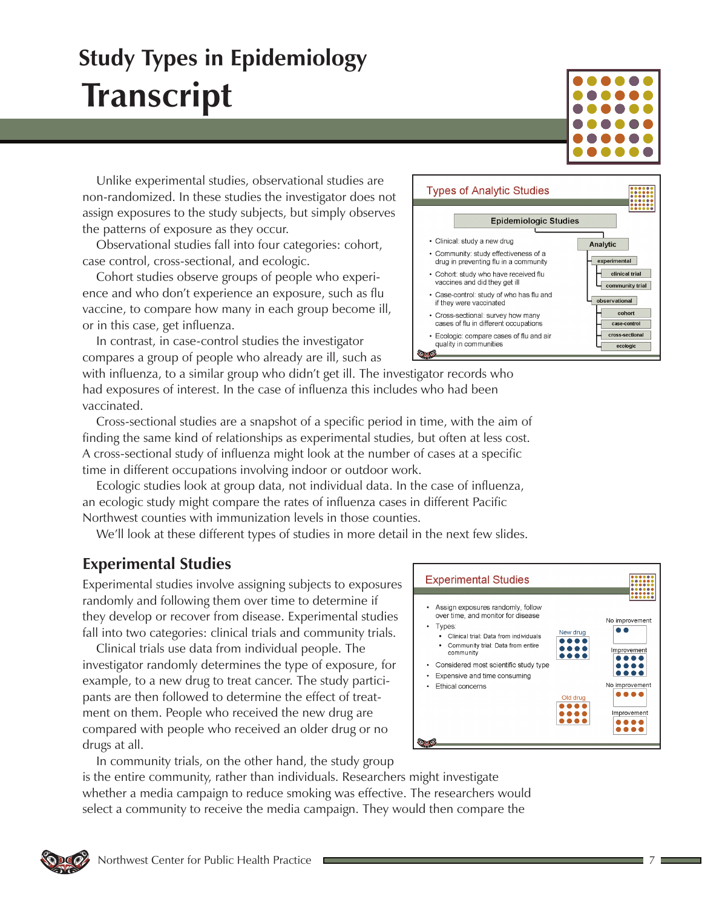Unlike experimental studies, observational studies are non-randomized. In these studies the investigator does not assign exposures to the study subjects, but simply observes the patterns of exposure as they occur.

Observational studies fall into four categories: cohort, case control, cross-sectional, and ecologic.

Cohort studies observe groups of people who experience and who don't experience an exposure, such as flu vaccine, to compare how many in each group become ill, or in this case, get influenza.

In contrast, in case-control studies the investigator compares a group of people who already are ill, such as

with influenza, to a similar group who didn't get ill. The investigator records who had exposures of interest. In the case of influenza this includes who had been vaccinated.

Cross-sectional studies are a snapshot of a specific period in time, with the aim of finding the same kind of relationships as experimental studies, but often at less cost. A cross-sectional study of influenza might look at the number of cases at a specific time in different occupations involving indoor or outdoor work.

Ecologic studies look at group data, not individual data. In the case of influenza, an ecologic study might compare the rates of influenza cases in different Pacific Northwest counties with immunization levels in those counties.

We'll look at these different types of studies in more detail in the next few slides.

### **Experimental Studies**

Experimental studies involve assigning subjects to exposures randomly and following them over time to determine if they develop or recover from disease. Experimental studies fall into two categories: clinical trials and community trials.

Clinical trials use data from individual people. The investigator randomly determines the type of exposure, for example, to a new drug to treat cancer. The study participants are then followed to determine the effect of treatment on them. People who received the new drug are compared with people who received an older drug or no drugs at all.

In community trials, on the other hand, the study group is the entire community, rather than individuals. Researchers might investigate whether a media campaign to reduce smoking was effective. The researchers would select a community to receive the media campaign. They would then compare the





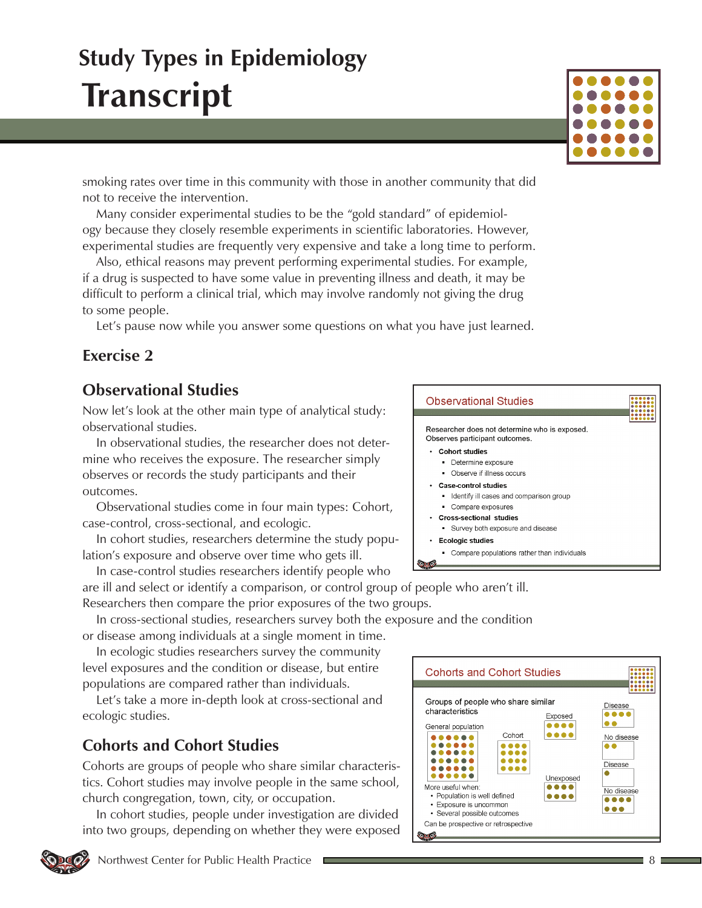smoking rates over time in this community with those in another community that did not to receive the intervention.

Many consider experimental studies to be the "gold standard" of epidemiology because they closely resemble experiments in scientific laboratories. However, experimental studies are frequently very expensive and take a long time to perform.

Also, ethical reasons may prevent performing experimental studies. For example, if a drug is suspected to have some value in preventing illness and death, it may be difficult to perform a clinical trial, which may involve randomly not giving the drug to some people.

Let's pause now while you answer some questions on what you have just learned.

#### **Exercise 2**

### **Observational Studies**

Now let's look at the other main type of analytical study: observational studies.

In observational studies, the researcher does not determine who receives the exposure. The researcher simply observes or records the study participants and their outcomes.

Observational studies come in four main types: Cohort, case-control, cross-sectional, and ecologic.

In cohort studies, researchers determine the study population's exposure and observe over time who gets ill.

In case-control studies researchers identify people who are ill and select or identify a comparison, or control group of people who aren't ill.

Researchers then compare the prior exposures of the two groups.

In cross-sectional studies, researchers survey both the exposure and the condition or disease among individuals at a single moment in time.

In ecologic studies researchers survey the community level exposures and the condition or disease, but entire populations are compared rather than individuals.

Let's take a more in-depth look at cross-sectional and ecologic studies.

### **Cohorts and Cohort Studies**

Cohorts are groups of people who share similar characteristics. Cohort studies may involve people in the same school, church congregation, town, city, or occupation.

In cohort studies, people under investigation are divided into two groups, depending on whether they were exposed





#### **Observational Studies**

Researcher does not determine who is exposed Observes participant outcomes.

- Cohort studies
	- Determine exposure
	- Observe if illness occurs
- · Case-control studies
	- Identify ill cases and comparison group
- Compare exposures
- · Cross-sectional studies • Survey both exposure and disease
- **Ecologic studies**
- Compare populations rather than individuals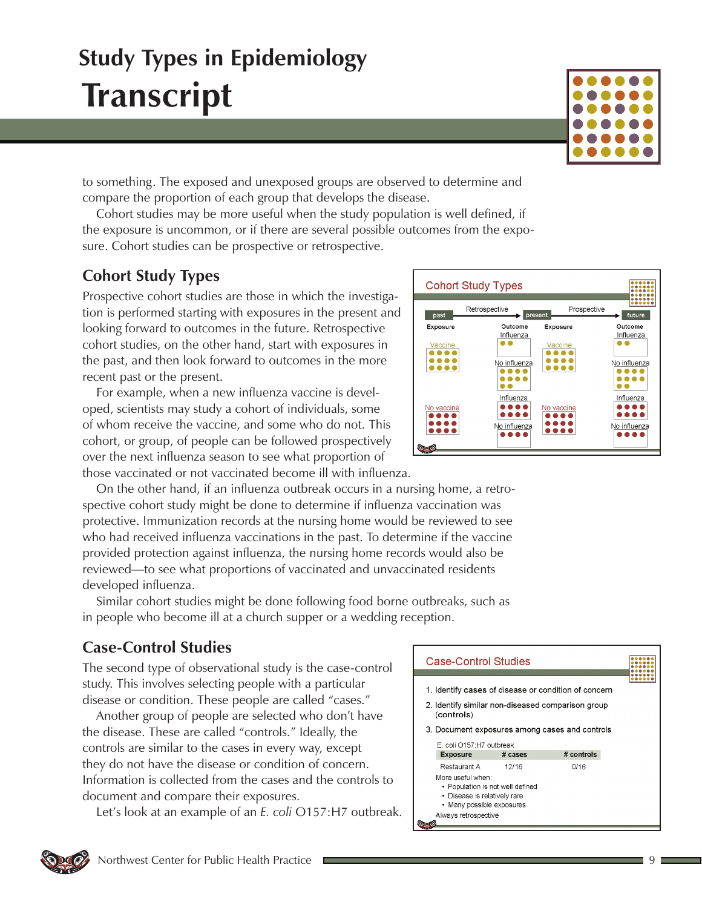

to something. The exposed and unexposed groups are observed to determine and compare the proportion of each group that develops the disease.

Cohort studies may be more useful when the study population is well defined, if the exposure is uncommon, or if there are several possible outcomes from the exposure. Cohort studies can be prospective or retrospective.

## **Cohort Study Types**

Prospective cohort studies are those in which the investigation is performed starting with exposures in the present and looking forward to outcomes in the future. Retrospective cohort studies, on the other hand, start with exposures in the past, and then look forward to outcomes in the more recent past or the present.

For example, when a new influenza vaccine is developed, scientists may study a cohort of individuals, some of whom receive the vaccine, and some who do not. This cohort, or group, of people can be followed prospectively over the next influenza season to see what proportion of those vaccinated or not vaccinated become ill with influenza.

On the other hand, if an influenza outbreak occurs in a nursing home, a retrospective cohort study might be done to determine if influenza vaccination was protective. Immunization records at the nursing home would be reviewed to see who had received influenza vaccinations in the past. To determine if the vaccine provided protection against influenza, the nursing home records would also be reviewed—to see what proportions of vaccinated and unvaccinated residents developed influenza.

Similar cohort studies might be done following food borne outbreaks, such as in people who become ill at a church supper or a wedding reception.

### **Case-Control Studies**

The second type of observational study is the case-control study. This involves selecting people with a particular disease or condition. These people are called "cases."

Another group of people are selected who don't have the disease. These are called "controls." Ideally, the controls are similar to the cases in every way, except they do not have the disease or condition of concern. Information is collected from the cases and the controls to document and compare their exposures.

Let's look at an example of an *E. coli* O157:H7 outbreak.



#### **Case-Control Studies**

- 1. Identify cases of disease or condition of concern
- 2. Identify similar non-diseased comparison group (controls)
- 3. Document exposures among cases and controls

| <b>Exposure</b>                                                                                                                            | # cases | # controls |
|--------------------------------------------------------------------------------------------------------------------------------------------|---------|------------|
| Restaurant A                                                                                                                               | 12/16   | 0/16       |
| More useful when:<br>• Population is not well defined<br>• Disease is relatively rare<br>• Many possible exposures<br>Always retrospective |         |            |

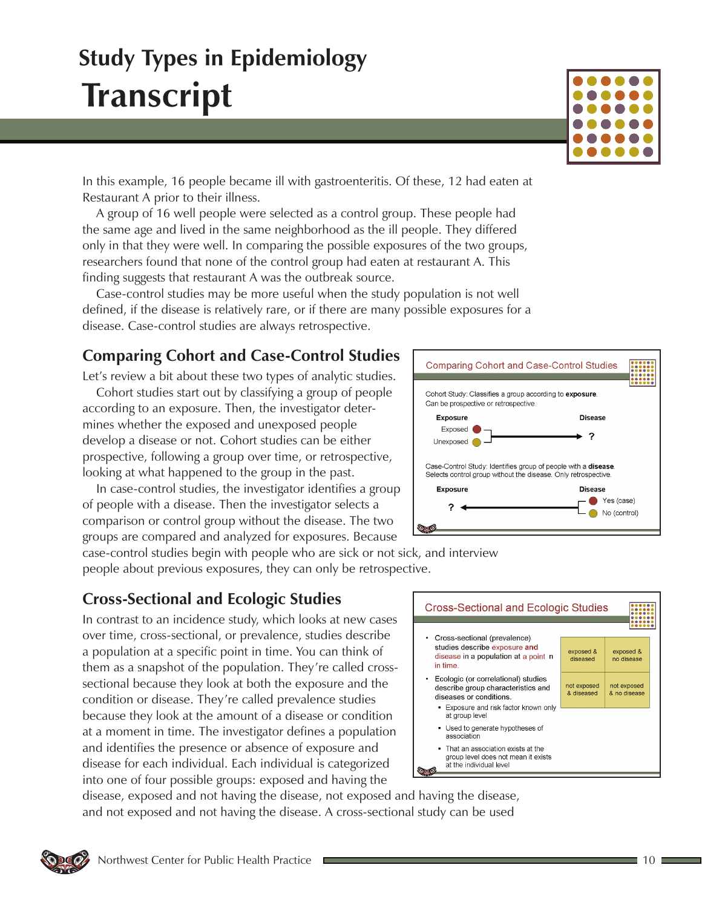In this example, 16 people became ill with gastroenteritis. Of these, 12 had eaten at Restaurant A prior to their illness.

A group of 16 well people were selected as a control group. These people had the same age and lived in the same neighborhood as the ill people. They differed only in that they were well. In comparing the possible exposures of the two groups, researchers found that none of the control group had eaten at restaurant A. This finding suggests that restaurant A was the outbreak source.

Case-control studies may be more useful when the study population is not well defined, if the disease is relatively rare, or if there are many possible exposures for a disease. Case-control studies are always retrospective.

## **Comparing Cohort and Case-Control Studies**

Let's review a bit about these two types of analytic studies. Cohort studies start out by classifying a group of people according to an exposure. Then, the investigator deter-

mines whether the exposed and unexposed people develop a disease or not. Cohort studies can be either prospective, following a group over time, or retrospective, looking at what happened to the group in the past.

In case-control studies, the investigator identifies a group of people with a disease. Then the investigator selects a comparison or control group without the disease. The two groups are compared and analyzed for exposures. Because

case-control studies begin with people who are sick or not sick, and interview people about previous exposures, they can only be retrospective.

## **Cross-Sectional and Ecologic Studies**

In contrast to an incidence study, which looks at new cases over time, cross-sectional, or prevalence, studies describe a population at a specific point in time. You can think of them as a snapshot of the population. They're called crosssectional because they look at both the exposure and the condition or disease. They're called prevalence studies because they look at the amount of a disease or condition at a moment in time. The investigator defines a population and identifies the presence or absence of exposure and disease for each individual. Each individual is categorized into one of four possible groups: exposed and having the

disease, exposed and not having the disease, not exposed and having the disease, and not exposed and not having the disease. A cross-sectional study can be used





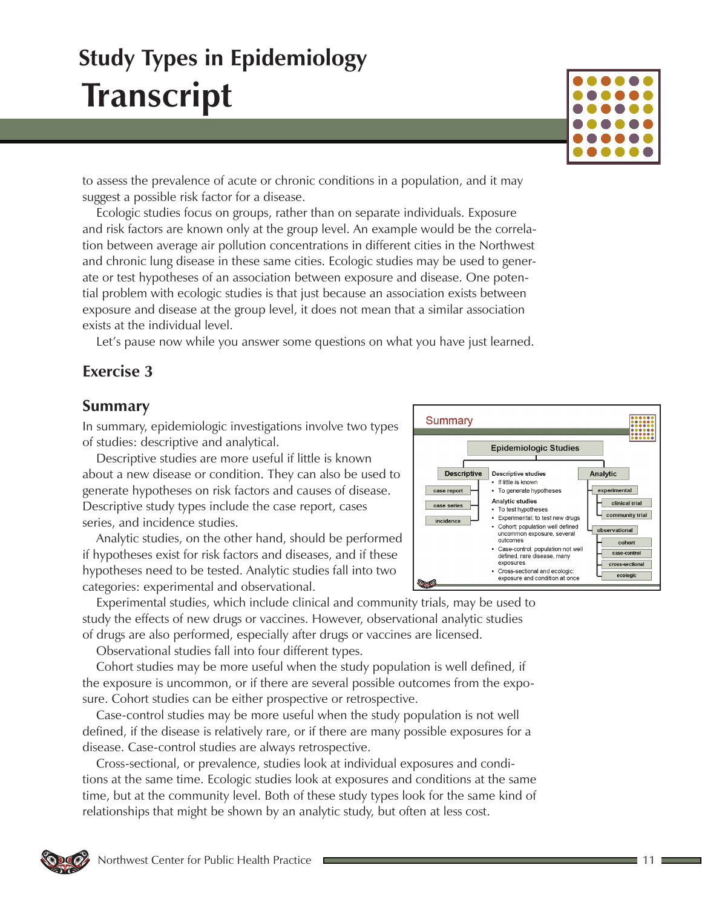# suggest a possible risk factor for a disease. Ecologic studies focus on groups, rather than on separate individuals. Exposure and risk factors are known only at the group level. An example would be the correla-

**Study Types in Epidemiology**

**Transcript**

tion between average air pollution concentrations in different cities in the Northwest and chronic lung disease in these same cities. Ecologic studies may be used to generate or test hypotheses of an association between exposure and disease. One potential problem with ecologic studies is that just because an association exists between exposure and disease at the group level, it does not mean that a similar association exists at the individual level.

to assess the prevalence of acute or chronic conditions in a population, and it may

Let's pause now while you answer some questions on what you have just learned.

### **Exercise 3**

#### **Summary**

In summary, epidemiologic investigations involve two types of studies: descriptive and analytical.

Descriptive studies are more useful if little is known about a new disease or condition. They can also be used to generate hypotheses on risk factors and causes of disease. Descriptive study types include the case report, cases series, and incidence studies.

Analytic studies, on the other hand, should be performed if hypotheses exist for risk factors and diseases, and if these hypotheses need to be tested. Analytic studies fall into two categories: experimental and observational.

Experimental studies, which include clinical and community trials, may be used to study the effects of new drugs or vaccines. However, observational analytic studies of drugs are also performed, especially after drugs or vaccines are licensed.

Observational studies fall into four different types.

Cohort studies may be more useful when the study population is well defined, if the exposure is uncommon, or if there are several possible outcomes from the exposure. Cohort studies can be either prospective or retrospective.

Case-control studies may be more useful when the study population is not well defined, if the disease is relatively rare, or if there are many possible exposures for a disease. Case-control studies are always retrospective.

Cross-sectional, or prevalence, studies look at individual exposures and conditions at the same time. Ecologic studies look at exposures and conditions at the same time, but at the community level. Both of these study types look for the same kind of relationships that might be shown by an analytic study, but often at less cost.